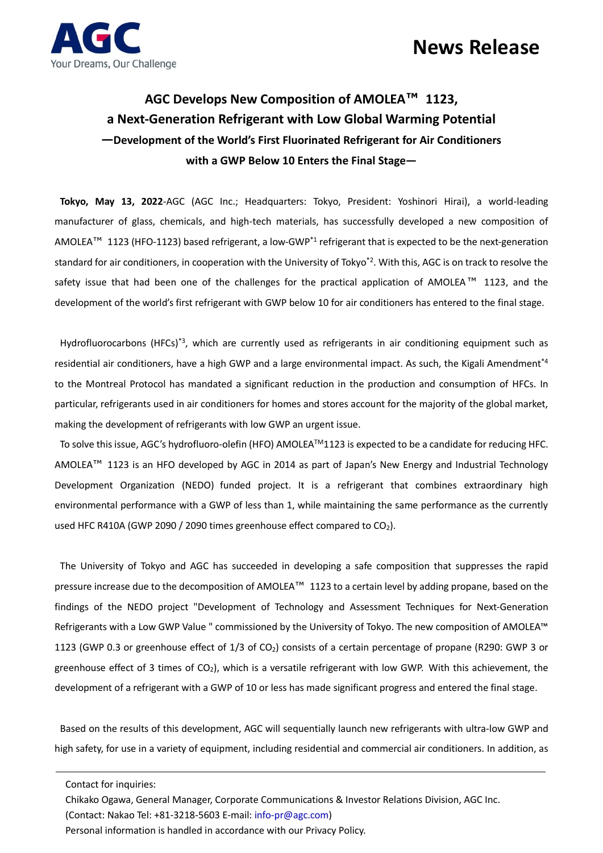

## **AGC Develops New Composition of AMOLEA™ 1123, a Next-Generation Refrigerant with Low Global Warming Potential —Development of the World's First Fluorinated Refrigerant for Air Conditioners with a GWP Below 10 Enters the Final Stage—**

**Tokyo, May 13, 2022**-AGC (AGC Inc.; Headquarters: Tokyo, President: Yoshinori Hirai), a world-leading manufacturer of glass, chemicals, and high-tech materials, has successfully developed a new composition of AMOLEA<sup>™</sup> 1123 (HFO-1123) based refrigerant, a low-GWP<sup>\*1</sup> refrigerant that is expected to be the next-generation standard for air conditioners, in cooperation with the University of Tokyo<sup>\*2</sup>. With this, AGC is on track to resolve the safety issue that had been one of the challenges for the practical application of AMOLEA<sup>™</sup> 1123, and the development of the world's first refrigerant with GWP below 10 for air conditioners has entered to the final stage.

Hydrofluorocarbons (HFCs)<sup>\*3</sup>, which are currently used as refrigerants in air conditioning equipment such as residential air conditioners, have a high GWP and a large environmental impact. As such, the Kigali Amendment<sup>\*4</sup> to the Montreal Protocol has mandated a significant reduction in the production and consumption of HFCs. In particular, refrigerants used in air conditioners for homes and stores account for the majority of the global market, making the development of refrigerants with low GWP an urgent issue.

To solve this issue, AGC's hydrofluoro-olefin (HFO) AMOLEATM1123 is expected to be a candidate for reducing HFC. AMOLEA™ 1123 is an HFO developed by AGC in 2014 as part of Japan's New Energy and Industrial Technology Development Organization (NEDO) funded project. It is a refrigerant that combines extraordinary high environmental performance with a GWP of less than 1, while maintaining the same performance as the currently used HFC R410A (GWP 2090 / 2090 times greenhouse effect compared to  $CO<sub>2</sub>$ ).

The University of Tokyo and AGC has succeeded in developing a safe composition that suppresses the rapid pressure increase due to the decomposition of AMOLEA™ 1123 to a certain level by adding propane, based on the findings of the NEDO project "Development of Technology and Assessment Techniques for Next-Generation Refrigerants with a Low GWP Value " commissioned by the University of Tokyo. The new composition of AMOLEA™ 1123 (GWP 0.3 or greenhouse effect of 1/3 of CO2) consists of a certain percentage of propane (R290: GWP 3 or greenhouse effect of 3 times of  $CO<sub>2</sub>$ ), which is a versatile refrigerant with low GWP. With this achievement, the development of a refrigerant with a GWP of 10 or less has made significant progress and entered the final stage.

Based on the results of this development, AGC will sequentially launch new refrigerants with ultra-low GWP and high safety, for use in a variety of equipment, including residential and commercial air conditioners. In addition, as

Contact for inquiries:

Chikako Ogawa, General Manager, Corporate Communications & Investor Relations Division, AGC Inc.

(Contact: Nakao Tel: +81-3218-5603 E-mail: info-pr@agc.com)

Personal information is handled in accordance with our Privacy Policy.